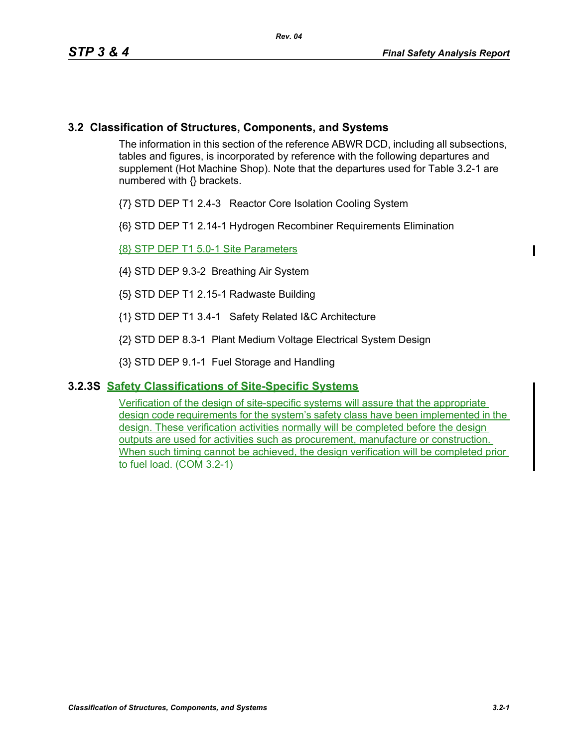## **3.2 Classification of Structures, Components, and Systems**

The information in this section of the reference ABWR DCD, including all subsections, tables and figures, is incorporated by reference with the following departures and supplement (Hot Machine Shop). Note that the departures used for Table 3.2-1 are numbered with {} brackets.

- {7} STD DEP T1 2.4-3 Reactor Core Isolation Cooling System
- {6} STD DEP T1 2.14-1 Hydrogen Recombiner Requirements Elimination

{8} STP DEP T1 5.0-1 Site Parameters

- {4} STD DEP 9.3-2 Breathing Air System
- {5} STD DEP T1 2.15-1 Radwaste Building
- {1} STD DEP T1 3.4-1 Safety Related I&C Architecture
- {2} STD DEP 8.3-1 Plant Medium Voltage Electrical System Design
- {3} STD DEP 9.1-1 Fuel Storage and Handling

## **3.2.3S Safety Classifications of Site-Specific Systems**

Verification of the design of site-specific systems will assure that the appropriate design code requirements for the system's safety class have been implemented in the design. These verification activities normally will be completed before the design outputs are used for activities such as procurement, manufacture or construction. When such timing cannot be achieved, the design verification will be completed prior to fuel load. (COM 3.2-1)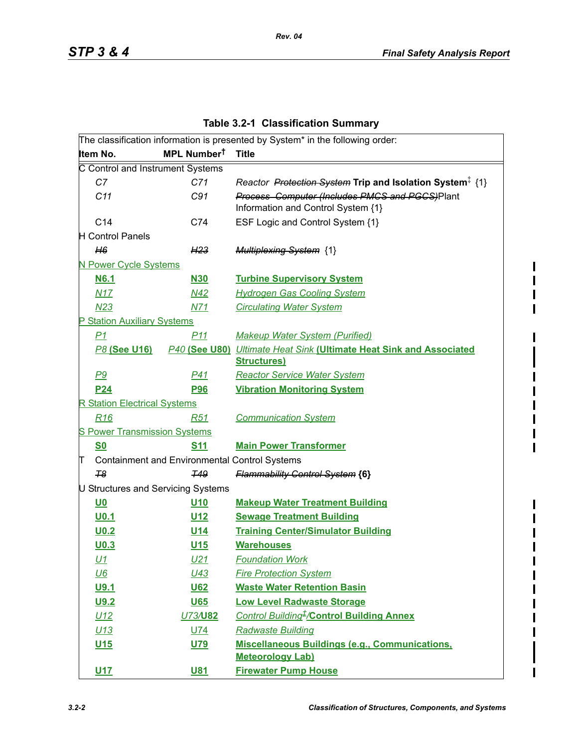I  $\overline{\phantom{a}}$ 

I

|   |                                     |                                                      | The classification information is presented by System* in the following order:            |
|---|-------------------------------------|------------------------------------------------------|-------------------------------------------------------------------------------------------|
|   | Item No.                            | MPL Number <sup>t</sup>                              | <b>Title</b>                                                                              |
|   | C Control and Instrument Systems    |                                                      |                                                                                           |
|   | C7                                  | C71                                                  | Reactor Protection System Trip and Isolation System <sup>‡</sup> {1}                      |
|   | C11                                 | C91                                                  | Process Computer (Includes PMCS and PGCS)Plant<br>Information and Control System {1}      |
|   | C14                                 | C74                                                  | ESF Logic and Control System {1}                                                          |
|   | H Control Panels                    |                                                      |                                                                                           |
|   | H6                                  | H <sub>23</sub>                                      | <b>Multiplexing System {1}</b>                                                            |
|   | N Power Cycle Systems               |                                                      |                                                                                           |
|   | <b>N6.1</b>                         | <b>N30</b>                                           | <b>Turbine Supervisory System</b>                                                         |
|   | N17                                 | N42                                                  | <b>Hydrogen Gas Cooling System</b>                                                        |
|   | M23                                 | N71                                                  | <b>Circulating Water System</b>                                                           |
|   | P Station Auxiliary Systems         |                                                      |                                                                                           |
|   | P1                                  | <u>P11</u>                                           | <b>Makeup Water System (Purified)</b>                                                     |
|   | <b>P8 (See U16)</b>                 |                                                      | P40 (See U80) Ultimate Heat Sink (Ultimate Heat Sink and Associated<br><b>Structures)</b> |
|   | P9                                  | P <sub>41</sub>                                      | <b>Reactor Service Water System</b>                                                       |
|   | <u>P24</u>                          | <b>P96</b>                                           | <b>Vibration Monitoring System</b>                                                        |
|   | <b>R Station Electrical Systems</b> |                                                      |                                                                                           |
|   | R <sub>16</sub>                     | R <sub>51</sub>                                      | <b>Communication System</b>                                                               |
|   | <b>S Power Transmission Systems</b> |                                                      |                                                                                           |
|   | <b>S0</b>                           | <u>S<sub>11</sub></u>                                | <b>Main Power Transformer</b>                                                             |
| T |                                     | <b>Containment and Environmental Control Systems</b> |                                                                                           |
|   | 78                                  | <b>T49</b>                                           | <b>Flammability Control System {6}</b>                                                    |
|   |                                     | U Structures and Servicing Systems                   |                                                                                           |
|   | <u>U0</u>                           | U <sub>10</sub>                                      | <b>Makeup Water Treatment Building</b>                                                    |
|   | U0.1                                | <u>U12</u>                                           | <b>Sewage Treatment Building</b>                                                          |
|   | U <sub>0.2</sub>                    | <u>U14</u>                                           | <b>Training Center/Simulator Building</b>                                                 |
|   | U <sub>0.3</sub>                    | U <sub>15</sub>                                      | <b>Warehouses</b>                                                                         |
|   | <u>U1</u>                           | U21                                                  | <b>Foundation Work</b>                                                                    |
|   | $U6$                                | U43                                                  | <b>Fire Protection System</b>                                                             |
|   | U9.1                                | U62                                                  | <b>Waste Water Retention Basin</b>                                                        |
|   | U9.2                                | U65                                                  | <b>Low Level Radwaste Storage</b>                                                         |
|   | U12                                 | U73/U82                                              | Control Building <sup>+</sup> /Control Building Annex                                     |
|   | U13                                 | <b>U74</b>                                           | <b>Radwaste Building</b>                                                                  |
|   | U <sub>15</sub>                     | U79                                                  | Miscellaneous Buildings (e.g., Communications,<br><b>Meteorology Lab)</b>                 |

**U17 U81 Firewater Pump House**

**Table 3.2-1 Classification Summary**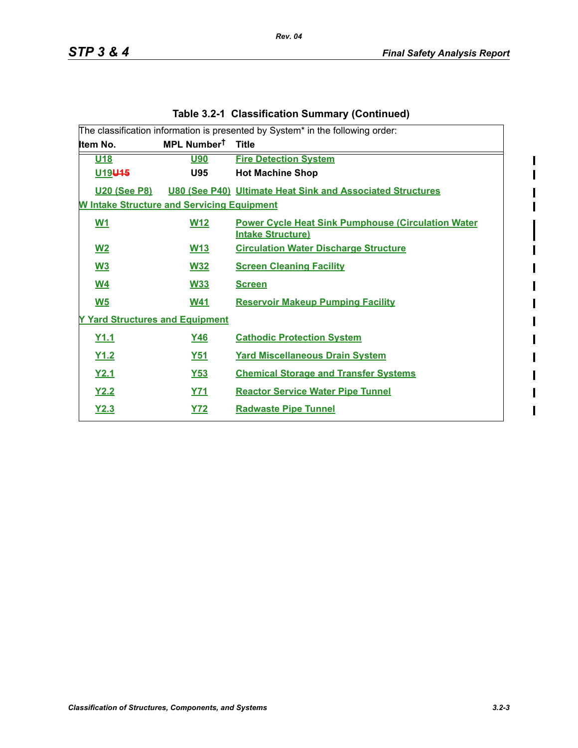$\begin{array}{c} \hline \end{array}$ 

I

 $\overline{\phantom{a}}$  $\begin{array}{c} \hline \end{array}$  $\overline{\phantom{a}}$ 

| <b>Table 3.2-1 Classification Summary (Continued)</b> |                                                                                            |                                                                                       |  |  |  |  |  |
|-------------------------------------------------------|--------------------------------------------------------------------------------------------|---------------------------------------------------------------------------------------|--|--|--|--|--|
|                                                       | The classification information is presented by System <sup>*</sup> in the following order: |                                                                                       |  |  |  |  |  |
| Item No.                                              | MPL Number <sup>t</sup>                                                                    | <b>Title</b>                                                                          |  |  |  |  |  |
| U <sub>18</sub>                                       | <u>U90</u>                                                                                 | <b>Fire Detection System</b>                                                          |  |  |  |  |  |
| U <sub>19</sub> U <sub>15</sub>                       | <b>U95</b>                                                                                 | <b>Hot Machine Shop</b>                                                               |  |  |  |  |  |
| <b>U20 (See P8)</b>                                   |                                                                                            | <b>U80 (See P40) Ultimate Heat Sink and Associated Structures</b>                     |  |  |  |  |  |
| <b>W Intake Structure and Servicing Equipment</b>     |                                                                                            |                                                                                       |  |  |  |  |  |
| W1                                                    | <b>W12</b>                                                                                 | <b>Power Cycle Heat Sink Pumphouse (Circulation Water</b><br><b>Intake Structure)</b> |  |  |  |  |  |
| W <sub>2</sub>                                        | <b>W13</b>                                                                                 | <b>Circulation Water Discharge Structure</b>                                          |  |  |  |  |  |
| $\underline{W3}$                                      | <b>W32</b>                                                                                 | <b>Screen Cleaning Facility</b>                                                       |  |  |  |  |  |
| <u>W4</u>                                             | <b>W33</b>                                                                                 | <b>Screen</b>                                                                         |  |  |  |  |  |
| $\underline{\mathsf{W5}}$                             | <b>W41</b>                                                                                 | <b>Reservoir Makeup Pumping Facility</b>                                              |  |  |  |  |  |
| <b>Y Yard Structures and Equipment</b>                |                                                                                            |                                                                                       |  |  |  |  |  |
| Y1.1                                                  | <u>Y46</u>                                                                                 | <b>Cathodic Protection System</b>                                                     |  |  |  |  |  |
| Y1.2                                                  | <u>Y51</u>                                                                                 | <b>Yard Miscellaneous Drain System</b>                                                |  |  |  |  |  |
| Y2.1                                                  | $Y53$                                                                                      | <b>Chemical Storage and Transfer Systems</b>                                          |  |  |  |  |  |
| Y2.2                                                  | <u>Y71</u>                                                                                 | <b>Reactor Service Water Pipe Tunnel</b>                                              |  |  |  |  |  |
| Y2.3                                                  | <b>Y72</b>                                                                                 | <b>Radwaste Pipe Tunnel</b>                                                           |  |  |  |  |  |

*Rev. 04*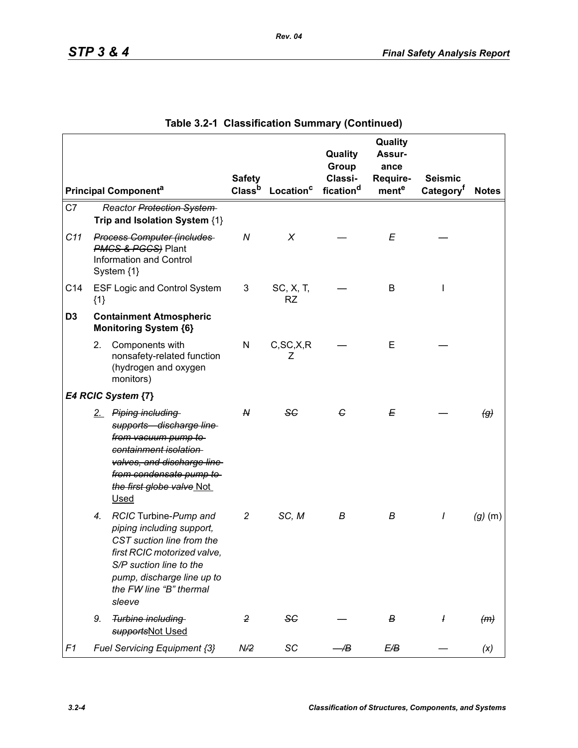|                |                                                                                                              |                                                                                                                                                                                                              |                                     |                        | Quality<br>Group<br>Classi- | Quality<br><b>Assur-</b><br>ance | <b>Seismic</b>        |                            |
|----------------|--------------------------------------------------------------------------------------------------------------|--------------------------------------------------------------------------------------------------------------------------------------------------------------------------------------------------------------|-------------------------------------|------------------------|-----------------------------|----------------------------------|-----------------------|----------------------------|
|                |                                                                                                              | <b>Principal Componenta</b>                                                                                                                                                                                  | <b>Safety</b><br>Class <sup>b</sup> | Location <sup>c</sup>  | fication <sup>d</sup>       | Require-<br>mente                | Category <sup>f</sup> | <b>Notes</b>               |
| C7             |                                                                                                              | Reactor Protection System<br>Trip and Isolation System {1}                                                                                                                                                   |                                     |                        |                             |                                  |                       |                            |
| C11            | <b>Process Computer (includes</b><br><b>PMCS &amp; PGCS</b> ) Plant<br>Information and Control<br>System {1} |                                                                                                                                                                                                              | ${\cal N}$                          | X                      |                             | E                                |                       |                            |
| C14            | ${1}$                                                                                                        | <b>ESF Logic and Control System</b>                                                                                                                                                                          | 3                                   | SC, X, T,<br><b>RZ</b> |                             | B                                |                       |                            |
| D <sub>3</sub> |                                                                                                              | <b>Containment Atmospheric</b><br><b>Monitoring System {6}</b>                                                                                                                                               |                                     |                        |                             |                                  |                       |                            |
|                | 2.                                                                                                           | Components with<br>nonsafety-related function<br>(hydrogen and oxygen<br>monitors)                                                                                                                           | N                                   | C, SC, X, R<br>Ζ       |                             | E                                |                       |                            |
|                |                                                                                                              | E4 RCIC System {7}                                                                                                                                                                                           |                                     |                        |                             |                                  |                       |                            |
|                |                                                                                                              | 2. Piping including<br>supports discharge line<br>from vacuum pump to<br>containment isolation<br>valves, and discharge line<br>from condensate pump to<br>the first globe valve Not<br><b>Used</b>          | ${\mathsf N}$                       | <b>SC</b>              | G                           | Е                                |                       | $\left(\mathcal{G}\right)$ |
|                | 4.                                                                                                           | RCIC Turbine-Pump and<br>piping including support,<br>CST suction line from the<br>first RCIC motorized valve,<br>S/P suction line to the<br>pump, discharge line up to<br>the FW line "B" thermal<br>sleeve | $\overline{c}$                      | SC, M                  | В                           | В                                | I                     | $(g)$ (m)                  |
|                | 9.                                                                                                           | Turbine including<br>supportsNot Used                                                                                                                                                                        | $\overline{2}$                      | SC                     |                             | в                                | ł                     | (m)                        |
| F1             |                                                                                                              | Fuel Servicing Equipment {3}                                                                                                                                                                                 | N/2                                 | SC                     | Æ                           | E/B                              |                       | (x)                        |

# **Table 3.2-1 Classification Summary (Continued)**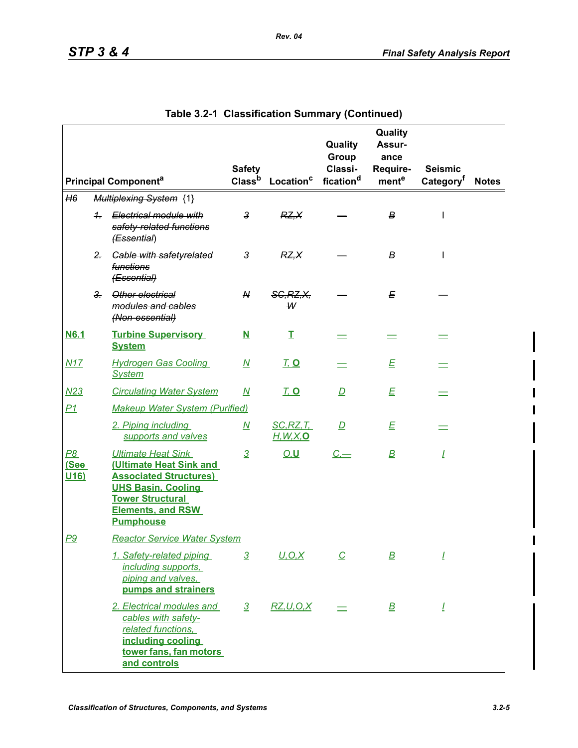|                                        |               |                                                                                                                                                                                               | <b>Safety</b>            |                                | Quality<br>Group<br>Classi- | Quality<br>Assur-<br>ance<br>Require- | <b>Seismic</b>        |              |
|----------------------------------------|---------------|-----------------------------------------------------------------------------------------------------------------------------------------------------------------------------------------------|--------------------------|--------------------------------|-----------------------------|---------------------------------------|-----------------------|--------------|
|                                        |               | <b>Principal Component<sup>a</sup></b>                                                                                                                                                        | Class <sup>b</sup>       | Location <sup>c</sup>          | fication <sup>d</sup>       | mente                                 | Category <sup>t</sup> | <b>Notes</b> |
| H6                                     |               | <b>Multiplexing System {1}</b>                                                                                                                                                                |                          |                                |                             |                                       |                       |              |
|                                        | $\pm$         | Electrical module with<br>safety-related functions<br>(Essential)                                                                                                                             | $\mathbf{3}$             | RZ, X                          |                             | В                                     | I                     |              |
|                                        | $2 -$         | <b>Gable with safetyrelated</b><br><i><b>functions</b></i><br>(Essential)                                                                                                                     | $\mathbf{3}$             | RZ, X                          |                             | В                                     |                       |              |
|                                        | $\frac{3}{2}$ | Other electrical<br>modules and cables<br>(Non-essential)                                                                                                                                     | N                        | <b>SG, RZ, X,</b><br>₩         |                             | Е                                     |                       |              |
| <b>N6.1</b>                            |               | <b>Turbine Supervisory</b><br><b>System</b>                                                                                                                                                   | $\overline{\mathbf{N}}$  | Ι                              |                             |                                       |                       |              |
| N17                                    |               | <b>Hydrogen Gas Cooling</b><br><b>System</b>                                                                                                                                                  | $\underline{\mathsf{M}}$ | <u>T. O</u>                    |                             | E                                     |                       |              |
| N <sub>23</sub>                        |               | <b>Circulating Water System</b>                                                                                                                                                               | $\overline{\mathsf{M}}$  | <u>T, O</u>                    | $\mathbf{D}$                | E                                     |                       |              |
| P1                                     |               | <b>Makeup Water System (Purified)</b>                                                                                                                                                         |                          |                                |                             |                                       |                       |              |
|                                        |               | 2. Piping including<br>supports and valves                                                                                                                                                    | <u>N</u>                 | SC, RZ, T<br><u>H, W, X, O</u> | $\overline{D}$              | E                                     |                       |              |
| <u>P8</u><br>(See<br>U <sub>16</sub> ) |               | <b>Ultimate Heat Sink</b><br>(Ultimate Heat Sink and<br><b>Associated Structures)</b><br><b>UHS Basin, Cooling</b><br><b>Tower Structural</b><br><b>Elements, and RSW</b><br><b>Pumphouse</b> | $\overline{3}$           | <u>O,U</u>                     | $C -$                       | $\overline{\mathbf{B}}$               | Ī                     |              |
| P9                                     |               | <b>Reactor Service Water System</b>                                                                                                                                                           |                          |                                |                             |                                       |                       |              |
|                                        |               | 1. Safety-related piping<br>including supports,<br>piping and valves,<br>pumps and strainers                                                                                                  | $\overline{3}$           | <u>U,O,X</u>                   | $\overline{C}$              | $\overline{\mathbf{B}}$               | <u>I</u>              |              |
|                                        |               | 2. Electrical modules and<br>cables with safety-<br>related functions,<br>including cooling<br>tower fans, fan motors<br>and controls                                                         | $\overline{3}$           | RZ, U, O, X                    |                             | $\mathbf B$                           | Ī                     |              |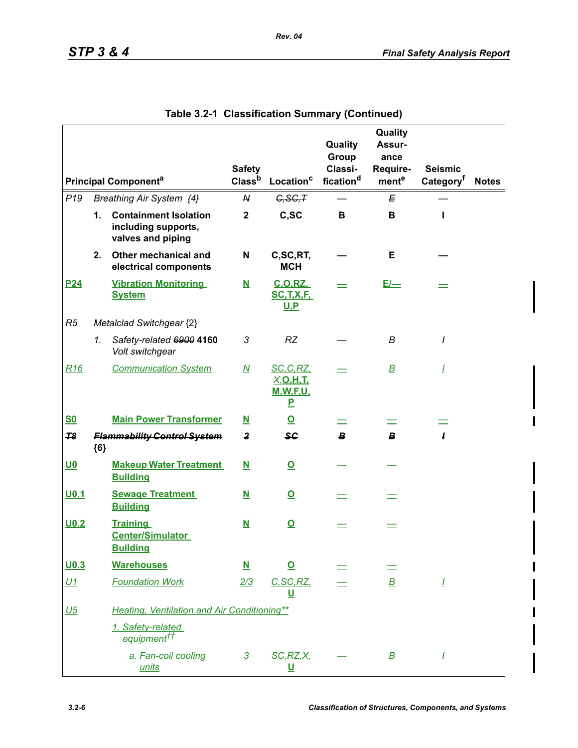|                  |               |                                                                          | <b>Safety</b>            |                                                              | Quality<br>Group<br>Classi- | Quality<br>Assur-<br>ance<br>Require- | <b>Seismic</b>        |              |
|------------------|---------------|--------------------------------------------------------------------------|--------------------------|--------------------------------------------------------------|-----------------------------|---------------------------------------|-----------------------|--------------|
|                  |               | <b>Principal Componenta</b>                                              | Classb                   | Location <sup>c</sup>                                        | fication <sup>d</sup>       | mente                                 | Category <sup>f</sup> | <b>Notes</b> |
| P <sub>19</sub>  |               | Breathing Air System {4}                                                 | ${\mathsf N}$            | G, SG, T                                                     |                             | Е                                     |                       |              |
|                  | $\mathbf 1$ . | <b>Containment Isolation</b><br>including supports,<br>valves and piping | $\mathbf 2$              | C,SC                                                         | В                           | В                                     |                       |              |
|                  | 2.            | Other mechanical and<br>electrical components                            | N                        | C,SC,RT,<br><b>MCH</b>                                       |                             | Е                                     |                       |              |
| P <sub>24</sub>  |               | <b>Vibration Monitoring</b><br><b>System</b>                             | $\overline{\mathbf{N}}$  | <b>C.O.RZ.</b><br><b>SC.T.X.F.</b><br><u>U.P</u>             |                             | $E/-$                                 |                       |              |
| R5               |               | Metalclad Switchgear {2}                                                 |                          |                                                              |                             |                                       |                       |              |
|                  | 1.            | Safety-related 6900 4160<br>Volt switchgear                              | 3                        | <b>RZ</b>                                                    |                             | B                                     | I                     |              |
| R16              |               | <b>Communication System</b>                                              | $\underline{\mathsf{M}}$ | <u>SC, C, RZ,</u><br><u>X,O,H,T,</u><br><b>M.W.F.U.</b><br>P |                             | $\overline{\mathbf{B}}$               | Ī                     |              |
| <u>S0</u>        |               | <b>Main Power Transformer</b>                                            | <u>N</u>                 | $\overline{\mathbf{o}}$                                      |                             |                                       |                       |              |
| 78               | ${6}$         | <b>Flammability Control System</b>                                       | $\overline{\mathbf{z}}$  | $s_{\mathbf{G}}$                                             | B                           | $\boldsymbol{B}$                      | I                     |              |
| <u>U0</u>        |               | <b>Makeup Water Treatment</b><br><b>Building</b>                         | $\overline{\mathbf{N}}$  | $\overline{\mathbf{o}}$                                      | $=$                         | $\equiv$                              |                       |              |
| U <sub>0.1</sub> |               | <b>Sewage Treatment</b><br><b>Building</b>                               | ${\bf N}$                | $\overline{\mathbf{o}}$                                      | $\equiv$                    | $\equiv$                              |                       |              |
| U <sub>0.2</sub> |               | <b>Training</b><br><b>Center/Simulator</b><br><b>Building</b>            | $\underline{\mathbf{N}}$ | $\overline{\mathbf{o}}$                                      |                             |                                       |                       |              |
| $U$ 0.3          |               | <b>Warehouses</b>                                                        | $\overline{\mathbf{N}}$  | <u>୦</u>                                                     |                             |                                       |                       |              |
| U1               |               | <b>Foundation Work</b>                                                   | 2/3                      | C, SC, RZ,<br><u>ប</u>                                       |                             | $\mathbf B$                           | Ī                     |              |
| <u>U5</u>        |               | <b>Heating, Ventilation and Air Conditioning**</b>                       |                          |                                                              |                             |                                       |                       |              |
|                  |               | 1. Safety-related<br>equipment <sup>tt</sup>                             |                          |                                                              |                             |                                       |                       |              |
|                  |               | a. Fan-coil cooling<br>units                                             | $\overline{3}$           | SC, RZ, X,<br><u>ប</u>                                       |                             | $\overline{\mathbf{B}}$               | Ī                     |              |

**Table 3.2-1 Classification Summary (Continued)**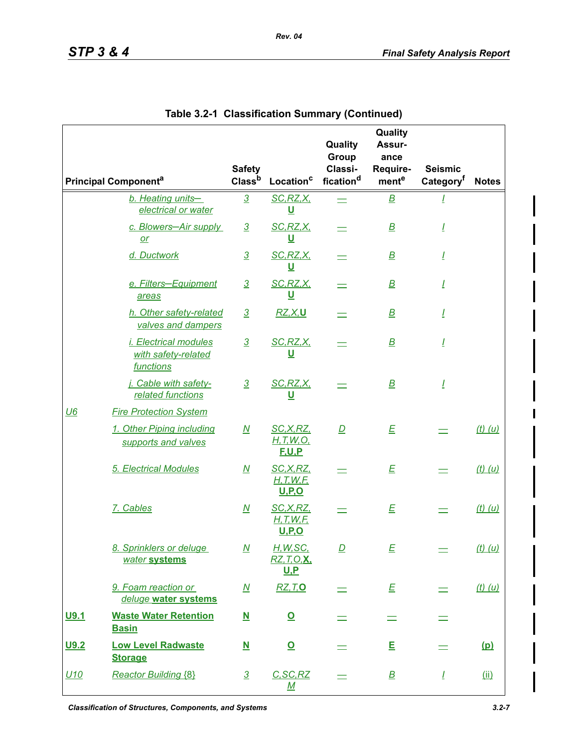|            |                                                                  | <b>Safety</b>            |                                                | Quality<br>Group<br>Classi- | Quality<br>Assur-<br>ance<br>Require- | <b>Seismic</b>        |              |
|------------|------------------------------------------------------------------|--------------------------|------------------------------------------------|-----------------------------|---------------------------------------|-----------------------|--------------|
|            | <b>Principal Component<sup>a</sup></b>                           | Class <sup>b</sup>       | Location <sup>c</sup>                          | fication <sup>d</sup>       | mente                                 | Category <sup>t</sup> | <b>Notes</b> |
|            | b. Heating units-<br>electrical or water                         | $\overline{3}$           | SC, RZ, X<br><u>U</u>                          |                             | $\overline{\mathbf{B}}$               |                       |              |
|            | c. Blowers-Air supply<br>$or$                                    | $\overline{3}$           | SC, RZ, X<br><u>ប</u>                          |                             | $\overline{\mathbf{B}}$               | I                     |              |
|            | d. Ductwork                                                      | $\overline{3}$           | SC, RZ, X<br><u>U</u>                          |                             | $\overline{\mathbf{B}}$               | Ī                     |              |
|            | e. Filters-Equipment<br>areas                                    | $\overline{3}$           | SC, RZ, X<br><u>ប</u>                          |                             | $\overline{\mathbf{B}}$               | Ī                     |              |
|            | h. Other safety-related<br>valves and dampers                    | $\overline{3}$           | <u>RZ, X, U</u>                                |                             | $\overline{\mathbf{B}}$               | Ī                     |              |
|            | <i>i. Electrical modules</i><br>with safety-related<br>functions | $\overline{3}$           | SC, RZ, X<br>U                                 |                             | $\overline{\mathbf{B}}$               | Ī                     |              |
|            | j. Cable with safety-<br>related functions                       | $\overline{3}$           | SC, RZ, X<br><u>ប</u>                          |                             | $\mathbf B$                           | <u>I</u>              |              |
| U6         | <b>Fire Protection System</b>                                    |                          |                                                |                             |                                       |                       |              |
|            | 1. Other Piping including<br>supports and valves                 | $\underline{\mathsf{M}}$ | SC, X, RZ,<br>H, T, W, O,<br><b>F.U.P</b>      | $\overline{D}$              | E                                     |                       | $(t)$ (u)    |
|            | 5. Electrical Modules                                            | $\overline{\mathsf{M}}$  | SC, X, RZ,<br>H, T, W, F<br><u>U,P,O</u>       |                             | E                                     |                       | $(t)$ (u)    |
|            | 7. Cables                                                        | $\underline{\mathsf{M}}$ | SC, X, RZ,<br>H, T, W, F<br><u>U,P,O</u>       |                             | E                                     |                       | $(t)$ (u)    |
|            | 8. Sprinklers or deluge<br>water systems                         | $\overline{M}$           | H, W, SC<br><u>RZ, T, O, X, </u><br><u>U.P</u> | $\overline{D}$              | E                                     |                       | $(t)$ $(u)$  |
|            | 9. Foam reaction or<br>deluge water systems                      | <u>N</u>                 | <b>RZ, T, O</b>                                |                             | E                                     |                       | $(t)$ $(u)$  |
| U9.1       | <b>Waste Water Retention</b><br><b>Basin</b>                     | $\overline{\mathbf{M}}$  | $\overline{\mathbf{O}}$                        |                             | $\equiv$                              |                       |              |
| U9.2       | <b>Low Level Radwaste</b><br><b>Storage</b>                      | ${\bf N}$                | $\overline{\mathbf{o}}$                        |                             | E                                     |                       | <u>(p)</u>   |
| <u>U10</u> | <b>Reactor Building {8}</b>                                      | $\overline{3}$           | C, SC, RZ<br><u>M</u>                          |                             | $\overline{\mathbf{B}}$               | Ī                     | (i)          |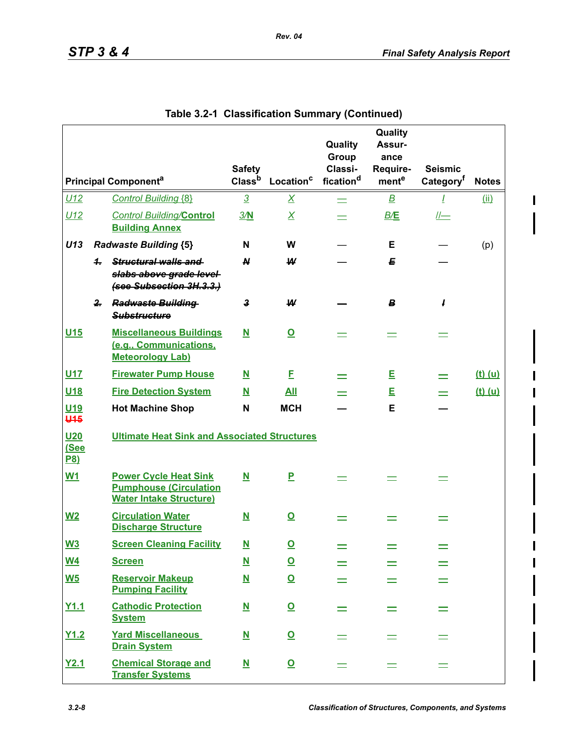I

|                                       |              |                                                                                                 | <b>Safety</b>            |                         | Quality<br>Group<br>Classi- | Quality<br>Assur-<br>ance<br>Require- | <b>Seismic</b>        |              |
|---------------------------------------|--------------|-------------------------------------------------------------------------------------------------|--------------------------|-------------------------|-----------------------------|---------------------------------------|-----------------------|--------------|
|                                       |              | <b>Principal Component<sup>a</sup></b>                                                          | Class <sup>b</sup>       | Location <sup>c</sup>   | fication <sup>d</sup>       | mente                                 | Category <sup>f</sup> | <b>Notes</b> |
| U12                                   |              | <b>Control Building {8}</b>                                                                     | $\overline{3}$           | $\overline{X}$          | $=$                         | $\overline{\mathbf{B}}$               | T                     | (i)          |
| U12                                   |              | <b>Control Building/Control</b><br><b>Building Annex</b>                                        | 3/M                      | $\overline{X}$          |                             | B/E                                   | $  $ —                |              |
| U13                                   |              | <b>Radwaste Building {5}</b>                                                                    | N                        | W                       |                             | Е                                     |                       | (p)          |
|                                       | 4.           | Structural walls and<br>slabs above grade level<br>(see Subsection 3H.3.3.)                     | N                        | ₩                       |                             | E                                     |                       |              |
|                                       | $\mathbf{r}$ | <b>Radwaste Building</b><br><b>Substructure</b>                                                 | 3                        | W                       |                             | B                                     | 1                     |              |
| U <sub>15</sub>                       |              | <b>Miscellaneous Buildings</b><br>(e.g., Communications,<br><b>Meteorology Lab)</b>             | N                        | $\overline{\mathbf{o}}$ |                             |                                       |                       |              |
| U <sub>17</sub>                       |              | <b>Firewater Pump House</b>                                                                     | ${\bf N}$                | E                       |                             | E                                     |                       | $(t)$ $(u)$  |
| U <sub>18</sub>                       |              | <b>Fire Detection System</b>                                                                    | $\overline{\mathbf{N}}$  | <u>All</u>              |                             | E                                     |                       | $(t)$ (u)    |
| U <sub>19</sub><br><b>U45</b>         |              | <b>Hot Machine Shop</b>                                                                         | N                        | <b>MCH</b>              |                             | E                                     |                       |              |
| U <sub>20</sub><br>(See<br><b>P8)</b> |              | <b>Ultimate Heat Sink and Associated Structures</b>                                             |                          |                         |                             |                                       |                       |              |
| <b>W1</b>                             |              | <b>Power Cycle Heat Sink</b><br><b>Pumphouse (Circulation</b><br><b>Water Intake Structure)</b> | $\overline{\mathbf{N}}$  | P                       |                             |                                       |                       |              |
| $W2$                                  |              | <b>Circulation Water</b><br><b>Discharge Structure</b>                                          | $\overline{\mathbf{N}}$  | $\overline{\mathbf{Q}}$ |                             |                                       |                       |              |
| W3                                    |              | <b>Screen Cleaning Facility</b>                                                                 | N                        | $\overline{\mathbf{o}}$ |                             |                                       |                       |              |
| $\underline{W4}$                      |              | <b>Screen</b>                                                                                   | $\underline{\mathsf{N}}$ | $\overline{\mathbf{Q}}$ |                             |                                       |                       |              |
| $\underline{\mathsf{W5}}$             |              | <b>Reservoir Makeup</b><br><b>Pumping Facility</b>                                              | $\underline{\mathsf{N}}$ | $\overline{\mathbf{Q}}$ |                             |                                       |                       |              |
| Y1.1                                  |              | <b>Cathodic Protection</b><br><b>System</b>                                                     | $\overline{\mathbf{M}}$  | $\overline{\mathbf{O}}$ |                             |                                       |                       |              |
| Y1.2                                  |              | <b>Yard Miscellaneous</b><br><b>Drain System</b>                                                | <u>N</u>                 | $\overline{\mathbf{Q}}$ |                             |                                       |                       |              |
| Y2.1                                  |              | <b>Chemical Storage and</b><br><b>Transfer Systems</b>                                          | ${\bf N}$                | $\overline{\mathbf{Q}}$ |                             |                                       |                       |              |

| Table 3.2-1 Classification Summary (Continued) |  |  |  |  |
|------------------------------------------------|--|--|--|--|
|------------------------------------------------|--|--|--|--|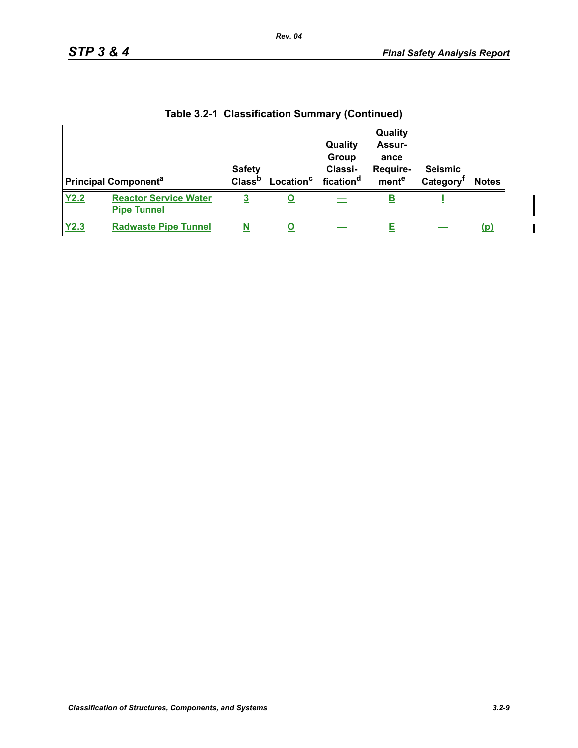$\overline{\phantom{a}}$ 

| <b>Principal Component<sup>a</sup></b> |                                                    | <b>Safety</b><br>Class <sup>b</sup> | Location <sup>c</sup> | Quality<br>Group<br>Classi-<br>fication <sup>d</sup> | Quality<br><b>Assur-</b><br>ance<br>Require-<br>mente | <b>Seismic</b><br>Category | <b>Notes</b> |
|----------------------------------------|----------------------------------------------------|-------------------------------------|-----------------------|------------------------------------------------------|-------------------------------------------------------|----------------------------|--------------|
| Y2.2                                   | <b>Reactor Service Water</b><br><b>Pipe Tunnel</b> | <u>3</u>                            |                       |                                                      | <u>в</u>                                              |                            |              |
| Y2.3                                   | <b>Radwaste Pipe Tunnel</b>                        |                                     |                       |                                                      |                                                       |                            | <u>(p)</u>   |

**Table 3.2-1 Classification Summary (Continued)**

*Rev. 04*